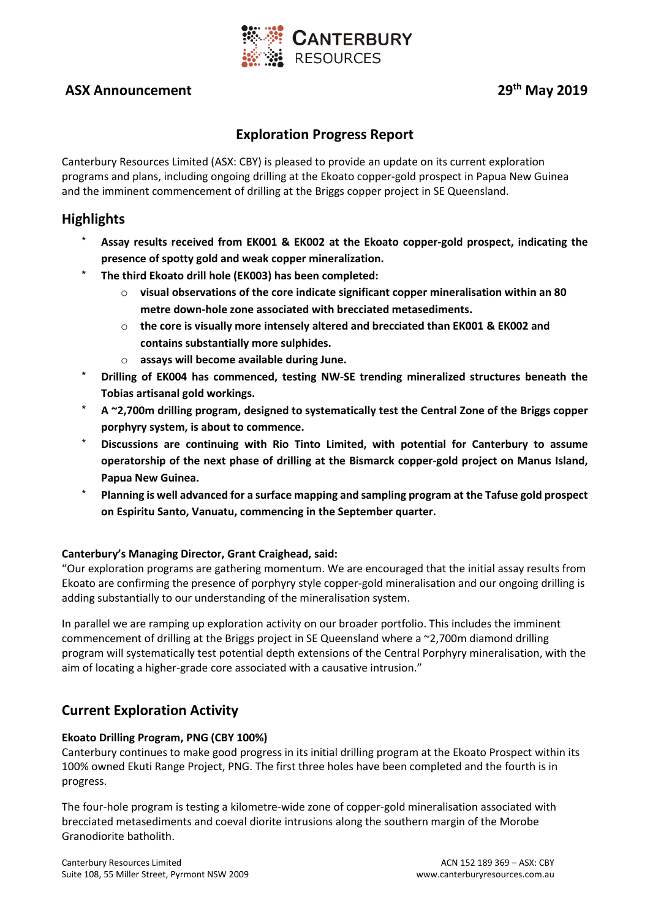

# **ASX Announcement 29th May 2019**

# **Exploration Progress Report**

Canterbury Resources Limited (ASX: CBY) is pleased to provide an update on its current exploration programs and plans, including ongoing drilling at the Ekoato copper-gold prospect in Papua New Guinea and the imminent commencement of drilling at the Briggs copper project in SE Queensland.

# **Highlights**

- \* **Assay results received from EK001 & EK002 at the Ekoato copper-gold prospect, indicating the presence of spotty gold and weak copper mineralization.**
- \* **The third Ekoato drill hole (EK003) has been completed:** 
	- o **visual observations of the core indicate significant copper mineralisation within an 80 metre down-hole zone associated with brecciated metasediments.**
	- o **the core is visually more intensely altered and brecciated than EK001 & EK002 and contains substantially more sulphides.**
	- o **assays will become available during June.**
- \* **Drilling of EK004 has commenced, testing NW-SE trending mineralized structures beneath the Tobias artisanal gold workings.**
- \* **A ~2,700m drilling program, designed to systematically test the Central Zone of the Briggs copper porphyry system, is about to commence.**
- \* **Discussions are continuing with Rio Tinto Limited, with potential for Canterbury to assume operatorship of the next phase of drilling at the Bismarck copper-gold project on Manus Island, Papua New Guinea.**
- \* **Planning is well advanced for a surface mapping and sampling program at the Tafuse gold prospect on Espiritu Santo, Vanuatu, commencing in the September quarter.**

#### **Canterbury's Managing Director, Grant Craighead, said:**

"Our exploration programs are gathering momentum. We are encouraged that the initial assay results from Ekoato are confirming the presence of porphyry style copper-gold mineralisation and our ongoing drilling is adding substantially to our understanding of the mineralisation system.

In parallel we are ramping up exploration activity on our broader portfolio. This includes the imminent commencement of drilling at the Briggs project in SE Queensland where a ~2,700m diamond drilling program will systematically test potential depth extensions of the Central Porphyry mineralisation, with the aim of locating a higher-grade core associated with a causative intrusion."

## **Current Exploration Activity**

#### **Ekoato Drilling Program, PNG (CBY 100%)**

Canterbury continues to make good progress in its initial drilling program at the Ekoato Prospect within its 100% owned Ekuti Range Project, PNG. The first three holes have been completed and the fourth is in progress.

The four-hole program is testing a kilometre-wide zone of copper-gold mineralisation associated with brecciated metasediments and coeval diorite intrusions along the southern margin of the Morobe Granodiorite batholith.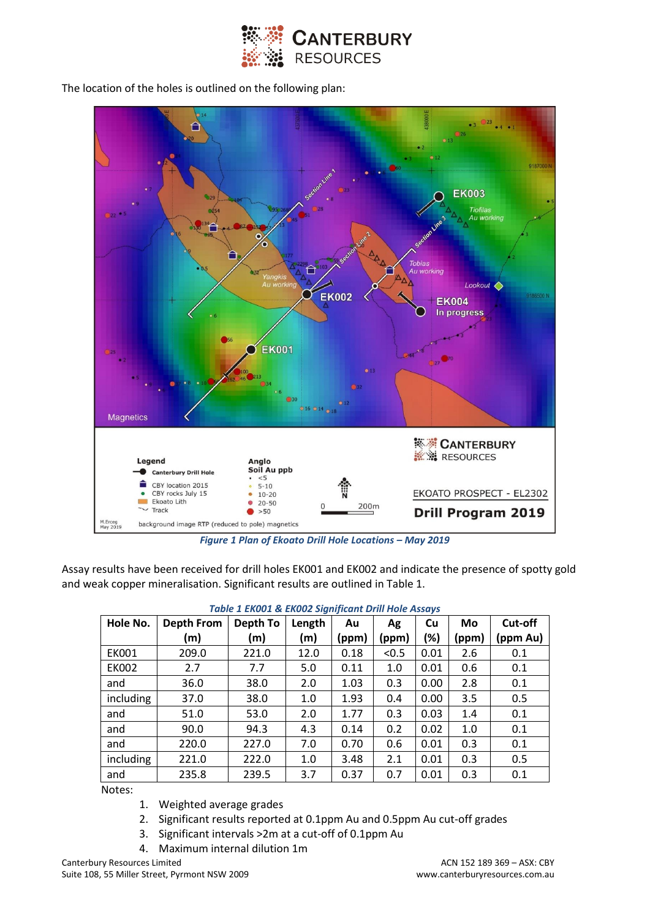

The location of the holes is outlined on the following plan:



*Figure 1 Plan of Ekoato Drill Hole Locations – May 2019*

Assay results have been received for drill holes EK001 and EK002 and indicate the presence of spotty gold and weak copper mineralisation. Significant results are outlined in Table 1.

| <b>TUDIC 1 LNUU1 &amp; LNUUZ SIGHIJICUHT DI III HUIC ASSUYS</b> |                   |          |        |       |       |           |       |          |
|-----------------------------------------------------------------|-------------------|----------|--------|-------|-------|-----------|-------|----------|
| Hole No.                                                        | <b>Depth From</b> | Depth To | Length | Au    | Ag    | <b>Cu</b> | Mo    | Cut-off  |
|                                                                 | (m)               | (m)      | (m)    | (ppm) | (ppm) | (%)       | (ppm) | (ppm Au) |
| <b>EK001</b>                                                    | 209.0             | 221.0    | 12.0   | 0.18  | < 0.5 | 0.01      | 2.6   | 0.1      |
| <b>EK002</b>                                                    | 2.7               | 7.7      | 5.0    | 0.11  | 1.0   | 0.01      | 0.6   | 0.1      |
| and                                                             | 36.0              | 38.0     | 2.0    | 1.03  | 0.3   | 0.00      | 2.8   | 0.1      |
| including                                                       | 37.0              | 38.0     | 1.0    | 1.93  | 0.4   | 0.00      | 3.5   | 0.5      |
| and                                                             | 51.0              | 53.0     | 2.0    | 1.77  | 0.3   | 0.03      | 1.4   | 0.1      |
| and                                                             | 90.0              | 94.3     | 4.3    | 0.14  | 0.2   | 0.02      | 1.0   | 0.1      |
| and                                                             | 220.0             | 227.0    | 7.0    | 0.70  | 0.6   | 0.01      | 0.3   | 0.1      |
| including                                                       | 221.0             | 222.0    | 1.0    | 3.48  | 2.1   | 0.01      | 0.3   | 0.5      |
| and                                                             | 235.8             | 239.5    | 3.7    | 0.37  | 0.7   | 0.01      | 0.3   | 0.1      |

| Table 1 EK001 & EK002 Significant Drill Hole Assays |  |  |
|-----------------------------------------------------|--|--|
|-----------------------------------------------------|--|--|

Notes:

- 1. Weighted average grades
- 2. Significant results reported at 0.1ppm Au and 0.5ppm Au cut-off grades
- 3. Significant intervals >2m at a cut-off of 0.1ppm Au
- 4. Maximum internal dilution 1m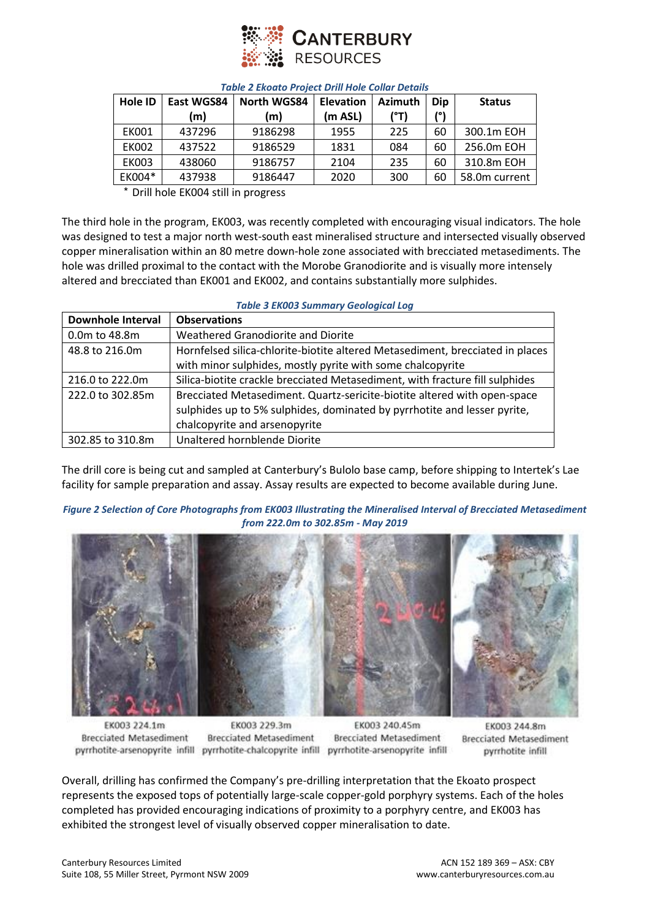

| <b>Hole ID</b> | East WGS84 | North WGS84 | <b>Elevation</b> | <b>Azimuth</b> | Dip | <b>Status</b> |
|----------------|------------|-------------|------------------|----------------|-----|---------------|
|                | (m)        | (m)         | (m ASL)          | (°T)           | /°ا |               |
| <b>EK001</b>   | 437296     | 9186298     | 1955             | 225            | 60  | 300.1m EOH    |
| <b>EK002</b>   | 437522     | 9186529     | 1831             | 084            | 60  | 256.0m EOH    |
| <b>EK003</b>   | 438060     | 9186757     | 2104             | 235            | 60  | 310.8m EOH    |
| EK004*         | 437938     | 9186447     | 2020             | 300            | 60  | 58.0m current |

#### *Table 2 Ekoato Project Drill Hole Collar Details*

\* Drill hole EK004 still in progress

The third hole in the program, EK003, was recently completed with encouraging visual indicators. The hole was designed to test a major north west-south east mineralised structure and intersected visually observed copper mineralisation within an 80 metre down-hole zone associated with brecciated metasediments. The hole was drilled proximal to the contact with the Morobe Granodiorite and is visually more intensely altered and brecciated than EK001 and EK002, and contains substantially more sulphides.

#### *Table 3 EK003 Summary Geological Log*

| <b>Downhole Interval</b> | <b>Observations</b>                                                           |
|--------------------------|-------------------------------------------------------------------------------|
| 0.0m to 48.8m            | Weathered Granodiorite and Diorite                                            |
| 48.8 to 216.0m           | Hornfelsed silica-chlorite-biotite altered Metasediment, brecciated in places |
|                          | with minor sulphides, mostly pyrite with some chalcopyrite                    |
| 216.0 to 222.0m          | Silica-biotite crackle brecciated Metasediment, with fracture fill sulphides  |
| 222.0 to 302.85m         | Brecciated Metasediment. Quartz-sericite-biotite altered with open-space      |
|                          | sulphides up to 5% sulphides, dominated by pyrrhotite and lesser pyrite,      |
|                          | chalcopyrite and arsenopyrite                                                 |
| 302.85 to 310.8m         | Unaltered hornblende Diorite                                                  |

The drill core is being cut and sampled at Canterbury's Bulolo base camp, before shipping to Intertek's Lae facility for sample preparation and assay. Assay results are expected to become available during June.

#### *Figure 2 Selection of Core Photographs from EK003 Illustrating the Mineralised Interval of Brecciated Metasediment from 222.0m to 302.85m - May 2019*



EK003 224.1m **Brecciated Metasediment** pyrrhotite-arsenopyrite infill pyrrhotite-chalcopyrite infill pyrrhotite-arsenopyrite infill

EK003 229.3m **Brecciated Metasediment** 

EK003 240.45m **Brecciated Metasediment** 

EK003 244.8m **Brecciated Metasediment** pyrrhotite infill

Overall, drilling has confirmed the Company's pre-drilling interpretation that the Ekoato prospect represents the exposed tops of potentially large-scale copper-gold porphyry systems. Each of the holes completed has provided encouraging indications of proximity to a porphyry centre, and EK003 has exhibited the strongest level of visually observed copper mineralisation to date.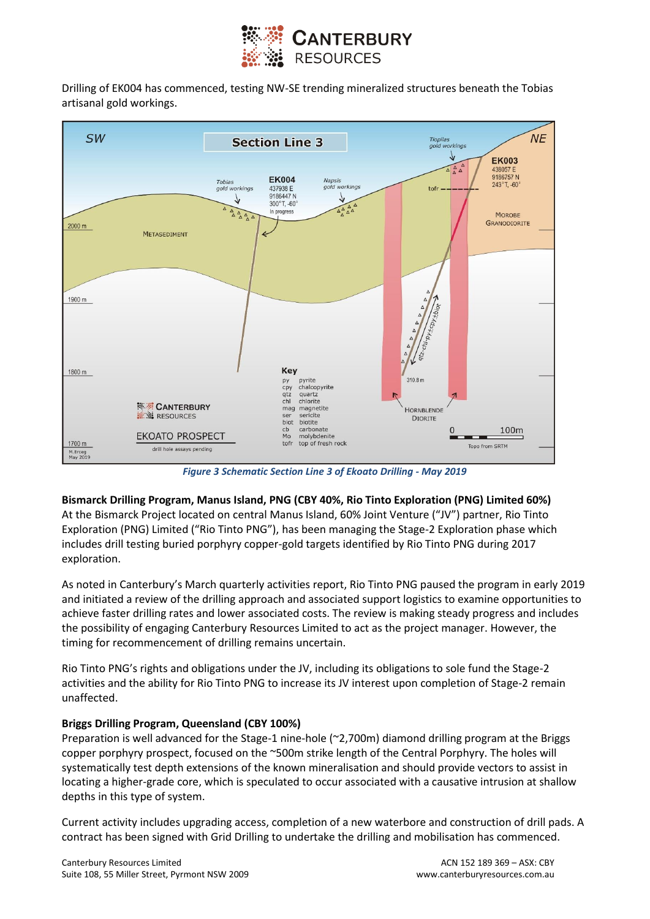

Drilling of EK004 has commenced, testing NW-SE trending mineralized structures beneath the Tobias artisanal gold workings.



*Figure 3 Schematic Section Line 3 of Ekoato Drilling - May 2019*

**Bismarck Drilling Program, Manus Island, PNG (CBY 40%, Rio Tinto Exploration (PNG) Limited 60%)** 

At the Bismarck Project located on central Manus Island, 60% Joint Venture ("JV") partner, Rio Tinto Exploration (PNG) Limited ("Rio Tinto PNG"), has been managing the Stage-2 Exploration phase which includes drill testing buried porphyry copper-gold targets identified by Rio Tinto PNG during 2017 exploration.

As noted in Canterbury's March quarterly activities report, Rio Tinto PNG paused the program in early 2019 and initiated a review of the drilling approach and associated support logistics to examine opportunities to achieve faster drilling rates and lower associated costs. The review is making steady progress and includes the possibility of engaging Canterbury Resources Limited to act as the project manager. However, the timing for recommencement of drilling remains uncertain.

Rio Tinto PNG's rights and obligations under the JV, including its obligations to sole fund the Stage-2 activities and the ability for Rio Tinto PNG to increase its JV interest upon completion of Stage-2 remain unaffected.

#### **Briggs Drilling Program, Queensland (CBY 100%)**

Preparation is well advanced for the Stage-1 nine-hole (~2,700m) diamond drilling program at the Briggs copper porphyry prospect, focused on the ~500m strike length of the Central Porphyry. The holes will systematically test depth extensions of the known mineralisation and should provide vectors to assist in locating a higher-grade core, which is speculated to occur associated with a causative intrusion at shallow depths in this type of system.

Current activity includes upgrading access, completion of a new waterbore and construction of drill pads. A contract has been signed with Grid Drilling to undertake the drilling and mobilisation has commenced.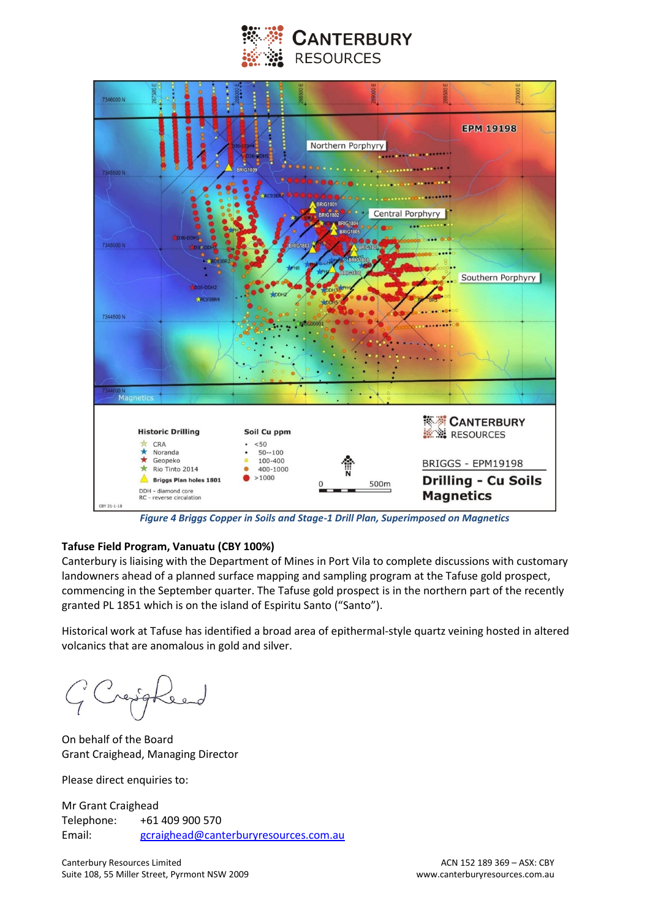



*Figure 4 Briggs Copper in Soils and Stage-1 Drill Plan, Superimposed on Magnetics* 

#### **Tafuse Field Program, Vanuatu (CBY 100%)**

Canterbury is liaising with the Department of Mines in Port Vila to complete discussions with customary landowners ahead of a planned surface mapping and sampling program at the Tafuse gold prospect, commencing in the September quarter. The Tafuse gold prospect is in the northern part of the recently granted PL 1851 which is on the island of Espiritu Santo ("Santo").

Historical work at Tafuse has identified a broad area of epithermal-style quartz veining hosted in altered volcanics that are anomalous in gold and silver.

On behalf of the Board Grant Craighead, Managing Director

Please direct enquiries to:

Mr Grant Craighead Telephone: +61 409 900 570 Email: [gcraighead@canterburyresources.com.au](mailto:gcraighead@canterburyresources.com.au)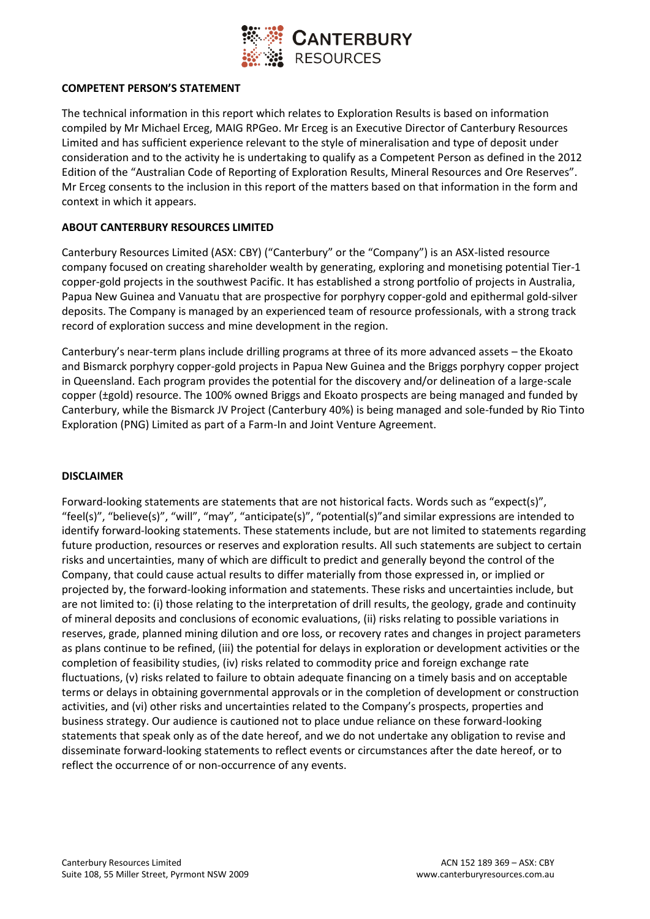

#### **COMPETENT PERSON'S STATEMENT**

The technical information in this report which relates to Exploration Results is based on information compiled by Mr Michael Erceg, MAIG RPGeo. Mr Erceg is an Executive Director of Canterbury Resources Limited and has sufficient experience relevant to the style of mineralisation and type of deposit under consideration and to the activity he is undertaking to qualify as a Competent Person as defined in the 2012 Edition of the "Australian Code of Reporting of Exploration Results, Mineral Resources and Ore Reserves". Mr Erceg consents to the inclusion in this report of the matters based on that information in the form and context in which it appears.

#### **ABOUT CANTERBURY RESOURCES LIMITED**

Canterbury Resources Limited (ASX: CBY) ("Canterbury" or the "Company") is an ASX-listed resource company focused on creating shareholder wealth by generating, exploring and monetising potential Tier-1 copper-gold projects in the southwest Pacific. It has established a strong portfolio of projects in Australia, Papua New Guinea and Vanuatu that are prospective for porphyry copper-gold and epithermal gold-silver deposits. The Company is managed by an experienced team of resource professionals, with a strong track record of exploration success and mine development in the region.

Canterbury's near-term plans include drilling programs at three of its more advanced assets – the Ekoato and Bismarck porphyry copper-gold projects in Papua New Guinea and the Briggs porphyry copper project in Queensland. Each program provides the potential for the discovery and/or delineation of a large-scale copper (±gold) resource. The 100% owned Briggs and Ekoato prospects are being managed and funded by Canterbury, while the Bismarck JV Project (Canterbury 40%) is being managed and sole-funded by Rio Tinto Exploration (PNG) Limited as part of a Farm-In and Joint Venture Agreement.

#### **DISCLAIMER**

Forward-looking statements are statements that are not historical facts. Words such as "expect(s)", "feel(s)", "believe(s)", "will", "may", "anticipate(s)", "potential(s)"and similar expressions are intended to identify forward-looking statements. These statements include, but are not limited to statements regarding future production, resources or reserves and exploration results. All such statements are subject to certain risks and uncertainties, many of which are difficult to predict and generally beyond the control of the Company, that could cause actual results to differ materially from those expressed in, or implied or projected by, the forward-looking information and statements. These risks and uncertainties include, but are not limited to: (i) those relating to the interpretation of drill results, the geology, grade and continuity of mineral deposits and conclusions of economic evaluations, (ii) risks relating to possible variations in reserves, grade, planned mining dilution and ore loss, or recovery rates and changes in project parameters as plans continue to be refined, (iii) the potential for delays in exploration or development activities or the completion of feasibility studies, (iv) risks related to commodity price and foreign exchange rate fluctuations, (v) risks related to failure to obtain adequate financing on a timely basis and on acceptable terms or delays in obtaining governmental approvals or in the completion of development or construction activities, and (vi) other risks and uncertainties related to the Company's prospects, properties and business strategy. Our audience is cautioned not to place undue reliance on these forward-looking statements that speak only as of the date hereof, and we do not undertake any obligation to revise and disseminate forward-looking statements to reflect events or circumstances after the date hereof, or to reflect the occurrence of or non-occurrence of any events.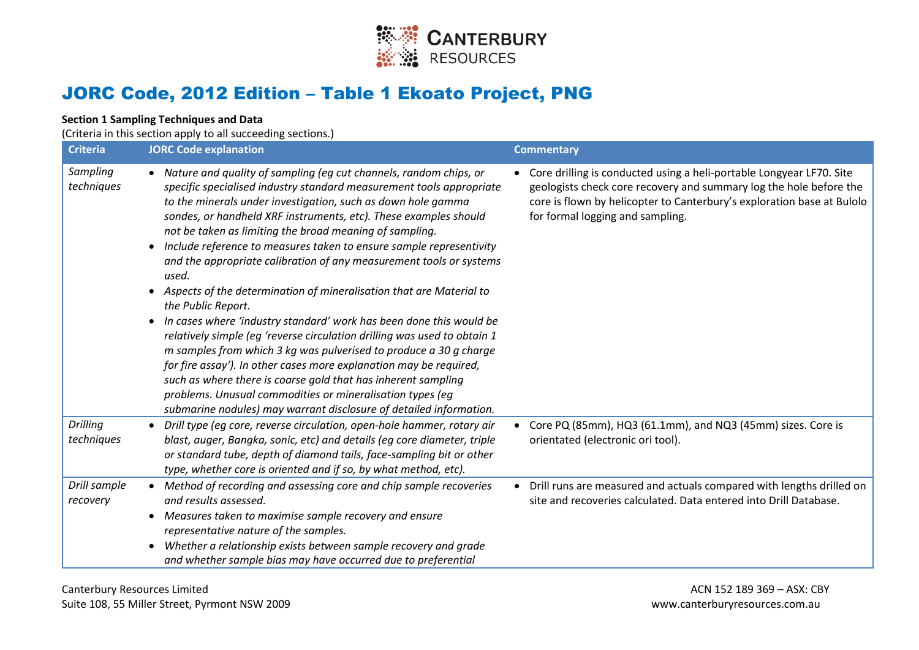

# JORC Code, 2012 Edition – Table 1 Ekoato Project, PNG

### **Section 1 Sampling Techniques and Data**

(Criteria in this section apply to all succeeding sections.)

| <b>Criteria</b>               | <b>JORC Code explanation</b>                                                                                                                                                                                                                                                                                                                                                                                                                                                                                                                                                                                                                                                                                                                                                                                                                                                                                                                                                                                                                                                                                                 | <b>Commentary</b>                                                                                                                                                                                                                                          |
|-------------------------------|------------------------------------------------------------------------------------------------------------------------------------------------------------------------------------------------------------------------------------------------------------------------------------------------------------------------------------------------------------------------------------------------------------------------------------------------------------------------------------------------------------------------------------------------------------------------------------------------------------------------------------------------------------------------------------------------------------------------------------------------------------------------------------------------------------------------------------------------------------------------------------------------------------------------------------------------------------------------------------------------------------------------------------------------------------------------------------------------------------------------------|------------------------------------------------------------------------------------------------------------------------------------------------------------------------------------------------------------------------------------------------------------|
| Sampling<br>techniques        | • Nature and quality of sampling (eg cut channels, random chips, or<br>specific specialised industry standard measurement tools appropriate<br>to the minerals under investigation, such as down hole gamma<br>sondes, or handheld XRF instruments, etc). These examples should<br>not be taken as limiting the broad meaning of sampling.<br>Include reference to measures taken to ensure sample representivity<br>$\bullet$<br>and the appropriate calibration of any measurement tools or systems<br>used.<br>• Aspects of the determination of mineralisation that are Material to<br>the Public Report.<br>In cases where 'industry standard' work has been done this would be<br>$\bullet$<br>relatively simple (eg 'reverse circulation drilling was used to obtain 1<br>m samples from which 3 kg was pulverised to produce a 30 g charge<br>for fire assay'). In other cases more explanation may be required,<br>such as where there is coarse gold that has inherent sampling<br>problems. Unusual commodities or mineralisation types (eg<br>submarine nodules) may warrant disclosure of detailed information. | • Core drilling is conducted using a heli-portable Longyear LF70. Site<br>geologists check core recovery and summary log the hole before the<br>core is flown by helicopter to Canterbury's exploration base at Bulolo<br>for formal logging and sampling. |
| <b>Drilling</b><br>techniques | Drill type (eg core, reverse circulation, open-hole hammer, rotary air<br>$\bullet$<br>blast, auger, Bangka, sonic, etc) and details (eg core diameter, triple<br>or standard tube, depth of diamond tails, face-sampling bit or other<br>type, whether core is oriented and if so, by what method, etc).                                                                                                                                                                                                                                                                                                                                                                                                                                                                                                                                                                                                                                                                                                                                                                                                                    | Core PQ (85mm), HQ3 (61.1mm), and NQ3 (45mm) sizes. Core is<br>orientated (electronic ori tool).                                                                                                                                                           |
| Drill sample<br>recovery      | • Method of recording and assessing core and chip sample recoveries<br>and results assessed.<br>Measures taken to maximise sample recovery and ensure<br>representative nature of the samples.<br>Whether a relationship exists between sample recovery and grade<br>$\bullet$<br>and whether sample bias may have occurred due to preferential                                                                                                                                                                                                                                                                                                                                                                                                                                                                                                                                                                                                                                                                                                                                                                              | • Drill runs are measured and actuals compared with lengths drilled on<br>site and recoveries calculated. Data entered into Drill Database.                                                                                                                |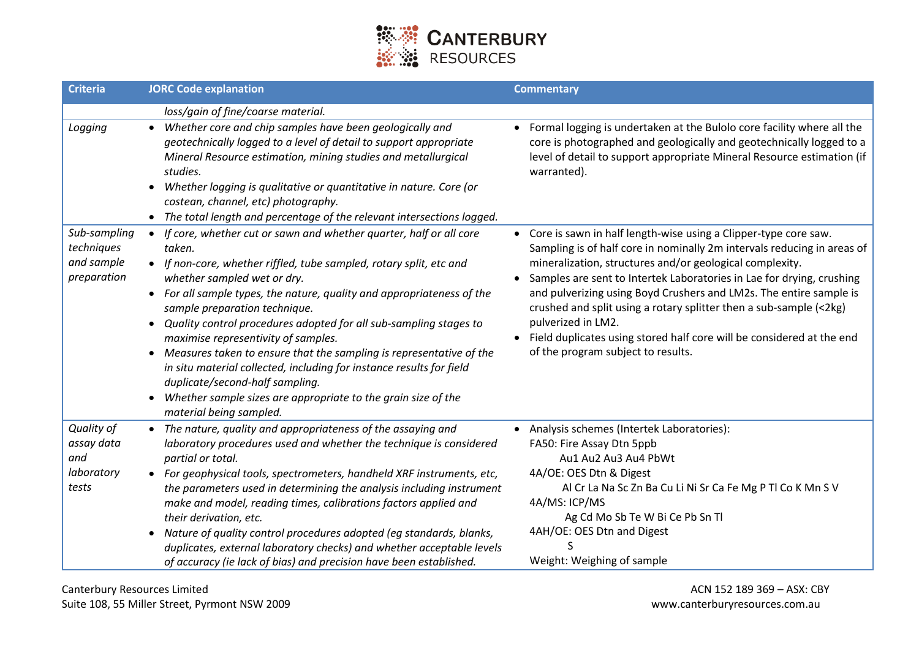

| <b>Criteria</b>                                         | <b>JORC Code explanation</b>                                                                                                                                                                                                                                                                                                                                                                                                                                                                                                                                                                                                                                                                                                                | <b>Commentary</b>                                                                                                                                                                                                                                                                                                                                                                                                                                                                                                                                                                            |
|---------------------------------------------------------|---------------------------------------------------------------------------------------------------------------------------------------------------------------------------------------------------------------------------------------------------------------------------------------------------------------------------------------------------------------------------------------------------------------------------------------------------------------------------------------------------------------------------------------------------------------------------------------------------------------------------------------------------------------------------------------------------------------------------------------------|----------------------------------------------------------------------------------------------------------------------------------------------------------------------------------------------------------------------------------------------------------------------------------------------------------------------------------------------------------------------------------------------------------------------------------------------------------------------------------------------------------------------------------------------------------------------------------------------|
|                                                         | loss/gain of fine/coarse material.                                                                                                                                                                                                                                                                                                                                                                                                                                                                                                                                                                                                                                                                                                          |                                                                                                                                                                                                                                                                                                                                                                                                                                                                                                                                                                                              |
| Logging                                                 | Whether core and chip samples have been geologically and<br>$\bullet$<br>geotechnically logged to a level of detail to support appropriate<br>Mineral Resource estimation, mining studies and metallurgical<br>studies.<br>Whether logging is qualitative or quantitative in nature. Core (or<br>$\bullet$<br>costean, channel, etc) photography.<br>• The total length and percentage of the relevant intersections logged.                                                                                                                                                                                                                                                                                                                | • Formal logging is undertaken at the Bulolo core facility where all the<br>core is photographed and geologically and geotechnically logged to a<br>level of detail to support appropriate Mineral Resource estimation (if<br>warranted).                                                                                                                                                                                                                                                                                                                                                    |
| Sub-sampling<br>techniques<br>and sample<br>preparation | If core, whether cut or sawn and whether quarter, half or all core<br>$\bullet$<br>taken.<br>• If non-core, whether riffled, tube sampled, rotary split, etc and<br>whether sampled wet or dry.<br>• For all sample types, the nature, quality and appropriateness of the<br>sample preparation technique.<br>Quality control procedures adopted for all sub-sampling stages to<br>$\bullet$<br>maximise representivity of samples.<br>Measures taken to ensure that the sampling is representative of the<br>$\bullet$<br>in situ material collected, including for instance results for field<br>duplicate/second-half sampling.<br>Whether sample sizes are appropriate to the grain size of the<br>$\bullet$<br>material being sampled. | • Core is sawn in half length-wise using a Clipper-type core saw.<br>Sampling is of half core in nominally 2m intervals reducing in areas of<br>mineralization, structures and/or geological complexity.<br>Samples are sent to Intertek Laboratories in Lae for drying, crushing<br>$\bullet$<br>and pulverizing using Boyd Crushers and LM2s. The entire sample is<br>crushed and split using a rotary splitter then a sub-sample (<2kg)<br>pulverized in LM2.<br>Field duplicates using stored half core will be considered at the end<br>$\bullet$<br>of the program subject to results. |
| Quality of<br>assay data<br>and<br>laboratory<br>tests  | • The nature, quality and appropriateness of the assaying and<br>laboratory procedures used and whether the technique is considered<br>partial or total.<br>• For geophysical tools, spectrometers, handheld XRF instruments, etc,<br>the parameters used in determining the analysis including instrument<br>make and model, reading times, calibrations factors applied and<br>their derivation, etc.<br>Nature of quality control procedures adopted (eg standards, blanks,<br>$\bullet$<br>duplicates, external laboratory checks) and whether acceptable levels<br>of accuracy (ie lack of bias) and precision have been established.                                                                                                  | • Analysis schemes (Intertek Laboratories):<br>FA50: Fire Assay Dtn 5ppb<br>Au1 Au2 Au3 Au4 PbWt<br>4A/OE: OES Dtn & Digest<br>Al Cr La Na Sc Zn Ba Cu Li Ni Sr Ca Fe Mg P Tl Co K Mn S V<br>4A/MS: ICP/MS<br>Ag Cd Mo Sb Te W Bi Ce Pb Sn Tl<br>4AH/OE: OES Dtn and Digest<br>Weight: Weighing of sample                                                                                                                                                                                                                                                                                    |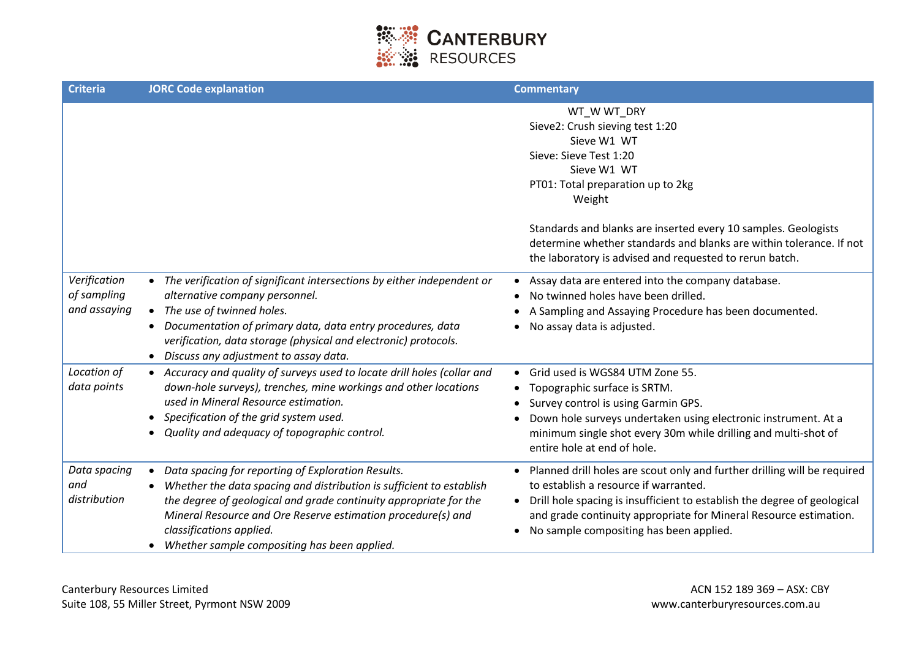

| <b>Criteria</b>                             | <b>JORC Code explanation</b>                                                                                                                                                                                                                                                                                                                             | <b>Commentary</b>                                                                                                                                                                                                                                                                                             |
|---------------------------------------------|----------------------------------------------------------------------------------------------------------------------------------------------------------------------------------------------------------------------------------------------------------------------------------------------------------------------------------------------------------|---------------------------------------------------------------------------------------------------------------------------------------------------------------------------------------------------------------------------------------------------------------------------------------------------------------|
|                                             |                                                                                                                                                                                                                                                                                                                                                          | WT_WWT_DRY<br>Sieve2: Crush sieving test 1:20<br>Sieve W1 WT<br>Sieve: Sieve Test 1:20<br>Sieve W1 WT<br>PT01: Total preparation up to 2kg<br>Weight                                                                                                                                                          |
|                                             |                                                                                                                                                                                                                                                                                                                                                          | Standards and blanks are inserted every 10 samples. Geologists<br>determine whether standards and blanks are within tolerance. If not<br>the laboratory is advised and requested to rerun batch.                                                                                                              |
| Verification<br>of sampling<br>and assaying | • The verification of significant intersections by either independent or<br>alternative company personnel.<br>• The use of twinned holes.<br>Documentation of primary data, data entry procedures, data<br>verification, data storage (physical and electronic) protocols.<br>• Discuss any adjustment to assay data.                                    | Assay data are entered into the company database.<br>No twinned holes have been drilled.<br>A Sampling and Assaying Procedure has been documented.<br>No assay data is adjusted.                                                                                                                              |
| Location of<br>data points                  | • Accuracy and quality of surveys used to locate drill holes (collar and<br>down-hole surveys), trenches, mine workings and other locations<br>used in Mineral Resource estimation.<br>Specification of the grid system used.<br>Quality and adequacy of topographic control.                                                                            | Grid used is WGS84 UTM Zone 55.<br>Topographic surface is SRTM.<br>Survey control is using Garmin GPS.<br>Down hole surveys undertaken using electronic instrument. At a<br>minimum single shot every 30m while drilling and multi-shot of<br>entire hole at end of hole.                                     |
| Data spacing<br>and<br>distribution         | Data spacing for reporting of Exploration Results.<br>Whether the data spacing and distribution is sufficient to establish<br>$\bullet$<br>the degree of geological and grade continuity appropriate for the<br>Mineral Resource and Ore Reserve estimation procedure(s) and<br>classifications applied.<br>Whether sample compositing has been applied. | Planned drill holes are scout only and further drilling will be required<br>to establish a resource if warranted.<br>Drill hole spacing is insufficient to establish the degree of geological<br>and grade continuity appropriate for Mineral Resource estimation.<br>No sample compositing has been applied. |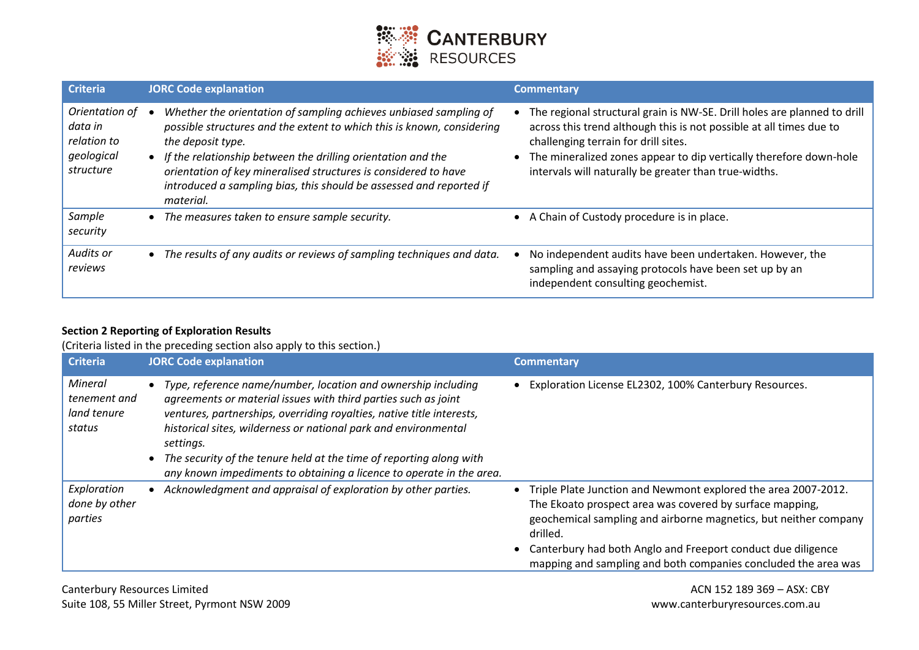

| <b>Criteria</b>                                                     | <b>JORC Code explanation</b>                                                                                                                                                                                                                                                                                                                                                              | <b>Commentary</b>                                                                                                                                                                                                                                                                                                        |
|---------------------------------------------------------------------|-------------------------------------------------------------------------------------------------------------------------------------------------------------------------------------------------------------------------------------------------------------------------------------------------------------------------------------------------------------------------------------------|--------------------------------------------------------------------------------------------------------------------------------------------------------------------------------------------------------------------------------------------------------------------------------------------------------------------------|
| Orientation of<br>data in<br>relation to<br>geological<br>structure | Whether the orientation of sampling achieves unbiased sampling of<br>possible structures and the extent to which this is known, considering<br>the deposit type.<br>• If the relationship between the drilling orientation and the<br>orientation of key mineralised structures is considered to have<br>introduced a sampling bias, this should be assessed and reported if<br>material. | The regional structural grain is NW-SE. Drill holes are planned to drill<br>across this trend although this is not possible at all times due to<br>challenging terrain for drill sites.<br>• The mineralized zones appear to dip vertically therefore down-hole<br>intervals will naturally be greater than true-widths. |
| Sample<br>security                                                  | The measures taken to ensure sample security.                                                                                                                                                                                                                                                                                                                                             | • A Chain of Custody procedure is in place.                                                                                                                                                                                                                                                                              |
| Audits or<br>reviews                                                | The results of any audits or reviews of sampling techniques and data.                                                                                                                                                                                                                                                                                                                     | No independent audits have been undertaken. However, the<br>sampling and assaying protocols have been set up by an<br>independent consulting geochemist.                                                                                                                                                                 |

#### **Section 2 Reporting of Exploration Results**

(Criteria listed in the preceding section also apply to this section.)

| <b>Criteria</b>                                  | <b>JORC Code explanation</b>                                                                                                                                                                                                                                                                                                                                                                                                            | <b>Commentary</b>                                                                                                                                                                                                                                                                                                                              |
|--------------------------------------------------|-----------------------------------------------------------------------------------------------------------------------------------------------------------------------------------------------------------------------------------------------------------------------------------------------------------------------------------------------------------------------------------------------------------------------------------------|------------------------------------------------------------------------------------------------------------------------------------------------------------------------------------------------------------------------------------------------------------------------------------------------------------------------------------------------|
| Mineral<br>tenement and<br>land tenure<br>status | Type, reference name/number, location and ownership including<br>agreements or material issues with third parties such as joint<br>ventures, partnerships, overriding royalties, native title interests,<br>historical sites, wilderness or national park and environmental<br>settings.<br>The security of the tenure held at the time of reporting along with<br>any known impediments to obtaining a licence to operate in the area. | • Exploration License EL2302, 100% Canterbury Resources.                                                                                                                                                                                                                                                                                       |
| Exploration<br>done by other<br>parties          | Acknowledgment and appraisal of exploration by other parties.                                                                                                                                                                                                                                                                                                                                                                           | Triple Plate Junction and Newmont explored the area 2007-2012.<br>The Ekoato prospect area was covered by surface mapping,<br>geochemical sampling and airborne magnetics, but neither company<br>drilled.<br>• Canterbury had both Anglo and Freeport conduct due diligence<br>mapping and sampling and both companies concluded the area was |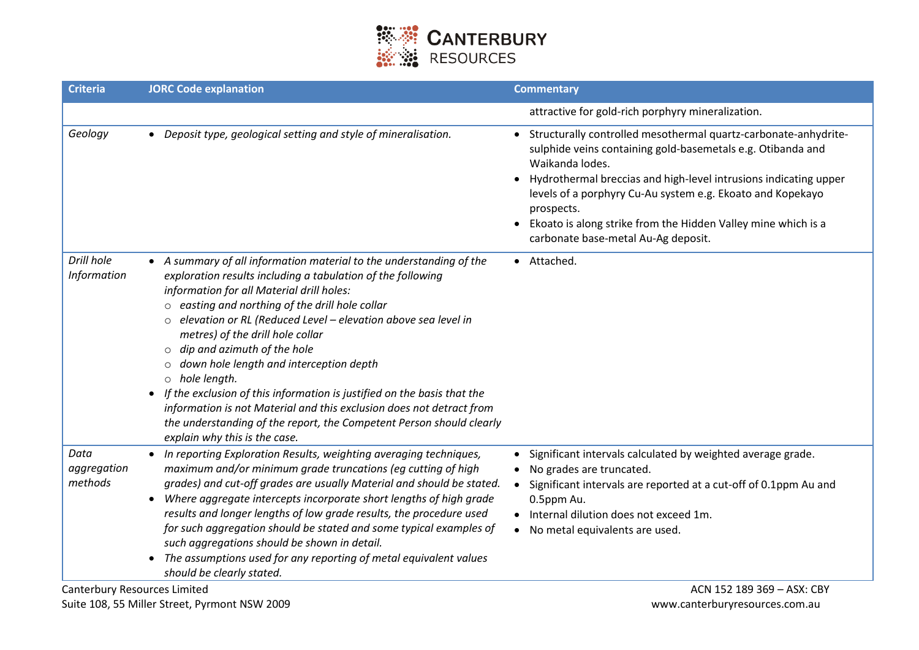

| <b>Criteria</b>                                                       | <b>JORC Code explanation</b>                                                                                                                                                                                                                                                                                                                                                                                                                                                                                                                                                                                                                                                                                            | <b>Commentary</b>                                                                                                                                                                                                                                                                                                                                                                                         |
|-----------------------------------------------------------------------|-------------------------------------------------------------------------------------------------------------------------------------------------------------------------------------------------------------------------------------------------------------------------------------------------------------------------------------------------------------------------------------------------------------------------------------------------------------------------------------------------------------------------------------------------------------------------------------------------------------------------------------------------------------------------------------------------------------------------|-----------------------------------------------------------------------------------------------------------------------------------------------------------------------------------------------------------------------------------------------------------------------------------------------------------------------------------------------------------------------------------------------------------|
|                                                                       |                                                                                                                                                                                                                                                                                                                                                                                                                                                                                                                                                                                                                                                                                                                         | attractive for gold-rich porphyry mineralization.                                                                                                                                                                                                                                                                                                                                                         |
| Geology                                                               | • Deposit type, geological setting and style of mineralisation.                                                                                                                                                                                                                                                                                                                                                                                                                                                                                                                                                                                                                                                         | Structurally controlled mesothermal quartz-carbonate-anhydrite-<br>sulphide veins containing gold-basemetals e.g. Otibanda and<br>Waikanda lodes.<br>Hydrothermal breccias and high-level intrusions indicating upper<br>levels of a porphyry Cu-Au system e.g. Ekoato and Kopekayo<br>prospects.<br>Ekoato is along strike from the Hidden Valley mine which is a<br>carbonate base-metal Au-Ag deposit. |
| Drill hole<br>Information                                             | • A summary of all information material to the understanding of the<br>exploration results including a tabulation of the following<br>information for all Material drill holes:<br>$\circ$ easting and northing of the drill hole collar<br>elevation or RL (Reduced Level - elevation above sea level in<br>metres) of the drill hole collar<br>$\circ$ dip and azimuth of the hole<br>o down hole length and interception depth<br>$\circ$ hole length.<br>• If the exclusion of this information is justified on the basis that the<br>information is not Material and this exclusion does not detract from<br>the understanding of the report, the Competent Person should clearly<br>explain why this is the case. | • Attached.                                                                                                                                                                                                                                                                                                                                                                                               |
| Data<br>aggregation<br>methods<br><b>Canterbury Resources Limited</b> | • In reporting Exploration Results, weighting averaging techniques,<br>maximum and/or minimum grade truncations (eg cutting of high<br>grades) and cut-off grades are usually Material and should be stated.<br>Where aggregate intercepts incorporate short lengths of high grade<br>$\bullet$<br>results and longer lengths of low grade results, the procedure used<br>for such aggregation should be stated and some typical examples of<br>such aggregations should be shown in detail.<br>• The assumptions used for any reporting of metal equivalent values<br>should be clearly stated.                                                                                                                        | Significant intervals calculated by weighted average grade.<br>No grades are truncated.<br>$\bullet$<br>Significant intervals are reported at a cut-off of 0.1ppm Au and<br>0.5ppm Au.<br>Internal dilution does not exceed 1m.<br>No metal equivalents are used.<br>$\bullet$<br>ACN 152 189 369 - ASX: CBY                                                                                              |